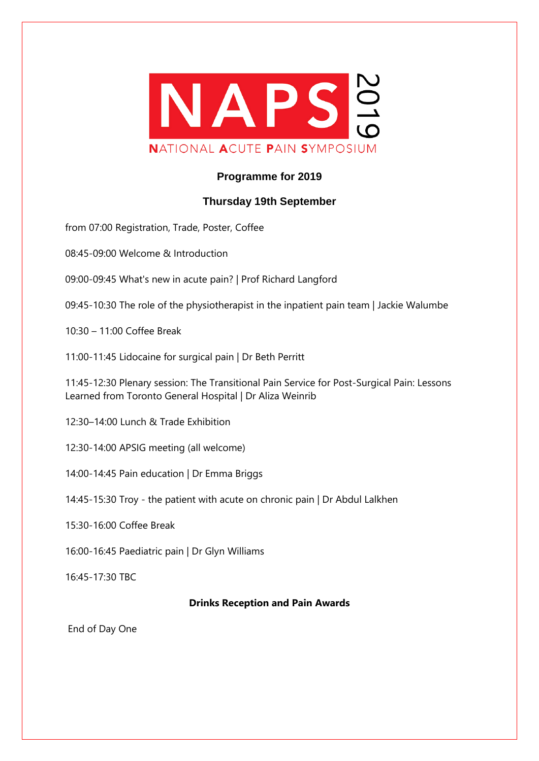

## **Programme for 2019**

## **Thursday 19th September**

from 07:00 Registration, Trade, Poster, Coffee

08:45-09:00 Welcome & Introduction

09:00-09:45 What's new in acute pain? | Prof Richard Langford

09:45-10:30 The role of the physiotherapist in the inpatient pain team | Jackie Walumbe

10:30 – 11:00 Coffee Break

11:00-11:45 Lidocaine for surgical pain | Dr Beth Perritt

11:45-12:30 Plenary session: The Transitional Pain Service for Post-Surgical Pain: Lessons Learned from Toronto General Hospital | Dr Aliza Weinrib

12:30–14:00 Lunch & Trade Exhibition

12:30-14:00 APSIG meeting (all welcome)

14:00-14:45 Pain education | Dr Emma Briggs

14:45-15:30 Troy - the patient with acute on chronic pain | Dr Abdul Lalkhen

15:30-16:00 Coffee Break

16:00-16:45 Paediatric pain | Dr Glyn Williams

16:45-17:30 TBC

## **Drinks Reception and Pain Awards**

End of Day One